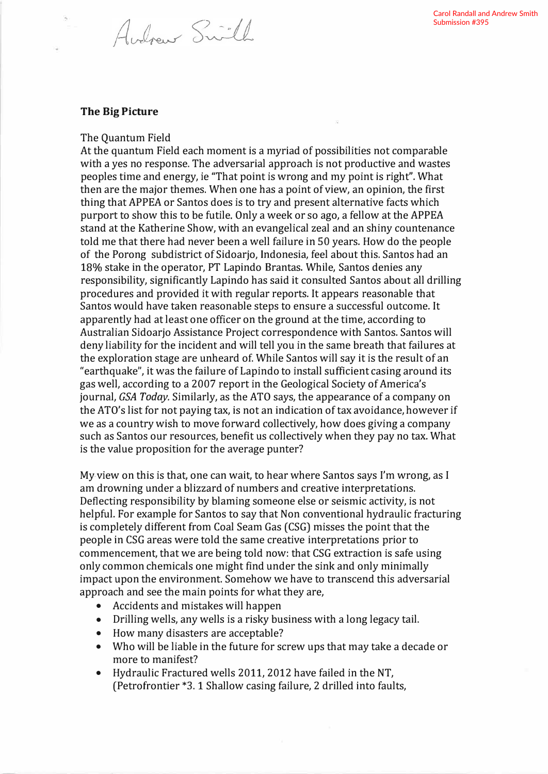## **The Big Picture**

The Quantum Field

Audrew Swill

At the quantum Field each moment is a myriad of possibilities not comparable with a yes no response. The adversarial approach is not productive and wastes peoples time and energy, ie "That point is wrong and my point is right". What then are the major themes. When one has a point of view, an opinion, the first thing that APPEA or Santos does is to try and present alternative facts which purport to show this to be futile. Only a week or so ago, a fellow at the APPEA stand at the Katherine Show, with an evangelical zeal and an shiny countenance told me that there had never been a well failure in 50 years. How do the people of the Porong subdistrict of Sidoarjo, Indonesia, feel about this. Santos had an 18% stake in the operator, PT Lapindo Brantas. While, Santos denies any responsibility, significantly Lapindo has said it consulted Santos about all drilling procedures and provided it with regular reports. It appears reasonable that Santos would have taken reasonable steps to ensure a successful outcome. It apparently had at least one officer on the ground at the time, according to Australian Sidoarjo Assistance Project correspondence with Santos. Santos will deny liability for the incident and will tell you in the same breath that failures at the exploration stage are unheard of. While Santos will say it is the result of an "earthquake", it was the failure of Lapindo to install sufficient casing around its gas well, according to a 2007 report in the Geological Society of America's journal, *GSA Today.* Similarly, as the ATO says, the appearance of a company on the ATO's list for not paying tax, is not an indication of tax avoidance, however if we as a country wish to move forward collectively, how does giving a company such as Santos our resources, benefit us collectively when they pay no tax. What is the value proposition for the average punter?

My-view on this is that, one can wait, to hear where Santos says I'm wrong, as I am drowning under a blizzard of numbers and creative interpretations. Deflecting responsibility by blaming someone else or seismic activity, is not helpful. For example for Santos to say that Non conventional hydraulic fracturing is completely different from Coal Seam Gas (CSG) misses the point that the people in CSG areas were told the same creative interpretations prior to commencement, that we are being told now: that CSG extraction is safe using only common chemicals one might find under the sink and only minimally impact upon the environment. Somehow we have to transcend this adversarial approach and see the main points for what they are,

- Accidents and mistakes will happen
- Drilling wells, any wells is a risky business with a long legacy tail.
- How many disasters are acceptable?
- Who will be liable in the future for screw ups that may take a decade or more to manifest?
- Hydraulic Fractured wells 2011, 2012 have failed in the NT, (Petrofrontier \*3. 1 Shallow casing failure, 2 drilled into faults,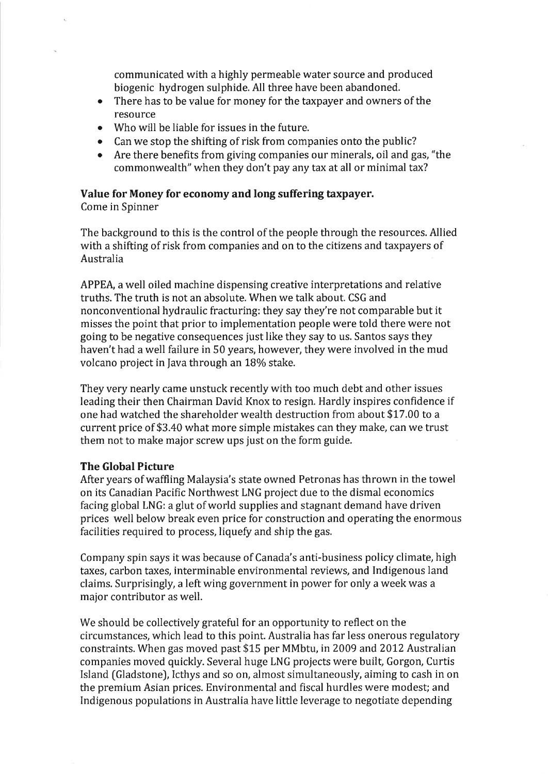communicated with a highly permeable water source and produced biogenic hydrogen sulphide. All three have been abandoned.

- There has to be value for money for the taxpayer and owners of the resource
- o Who will be liable for issues in the future.
- Can we stop the shifting of risk from companies onto the public?
- o Are there benefits from giving companies our minerals, oil and gas, "the commonwealth" when they don't pay any tax at all or minimal tax?

# Value for Money for economy and long suffering taxpayer.

Come in Spinner

The background to this is the control of the people through the resources. Allied with a shifting of risk from companies and on to the citizens and taxpayers of Australia

APPEA, a well oiled machine dispensing creative interpretations and relative truths. The truth is not an absolute, When we talk about. CSG and nonconventional hydraulic fracturing: they say they're not comparable but it misses the point that prior to implementation people were told there were not going to be negative consequences just like they say to us. Santos says they haven't had a well failure in 50 years, however, they were involved in the mud volcano project in Java through an 18% stake.

They very nearly came unstuck recently with too much debt and other issues leading their then Chairman David Knox to resign. Hardly inspires confidence if one had watched the shareholder wealth destruction from about \$17,00 to a current price of \$3.40 what more simple mistakes can they make, can we trust them not to make major screw ups just on the form guide.

## The Global Picture

After years of waffling Malaysia's state owned Petronas has thrown in the towel on its Canadian Pacific Northwest LNG project due to the dismal economics facing global LNG: a glut of world supplies and stagnant demand have driven prices well below break even price for construction and operating the enormous facilities required to process, liquefy and ship the gas.

Company spin says it was because of Canada's anti-business policy climate, high taxes, carbon taxes, interminable environmental reviews, and Indigenous land claims. Surprisingly, a left wing government in power for only a week was a major contributor as well.

We should be collectively grateful for an opportunity to reflect on the circumstances, which lead to this point. Australia has far less onerous regulatory constraints. When gas moved past \$15 per MMbtu, in 2009 and 2012 Australian companies moved quickly. Several huge LNG projects were built, Gorgon, Curtis Island (Gladstone), Icthys and so on, almost simultaneously, aiming to cash in on the premium Asian prices. Environmental and fiscal hurdles were modest; and Indigenous populations in Australia have little leverage to negotiate depending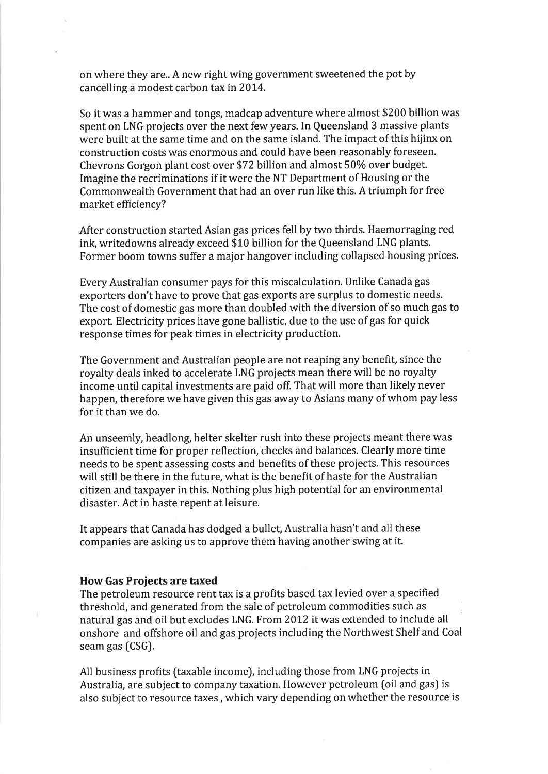on where they are.. A new right wing government sweetened the pot by cancelling a modest carbon tax in 2014.

So it was a hammer and tongs, madcap adventure where almost \$200 billion was spent on LNG projects over the next few years. In Queensland 3 massive plants were built at the same time and on the same island. The impact of this hijinx on construction costs was enormous and could have been reasonably foreseen. Chevrons Gorgon plant cost over \$72 billion and almost 50% over budget. Imagine the recriminations if it were the NT Department of Housing or the Commonwealth Government that had an over run like this. A triumph for free market efficiency?

After construction started Asian gas prices fell by two thirds. Haemorraging red ink, writedowns already exceed \$10 billion for the Queensland LNG plants. Former boom towns suffer a major hangover including collapsed housing prices.

Every Australian consumer pays for this miscalculation. Unlike Canada gas exporters don't have to prove that gas exports are surplus to domestic needs. The cost of domestic gas more than doubled with the diversion of so much gas to export. Electricity prices have gone ballistic, due to the use of gas for quick response times for peak times in electricity production.

The Government and Australian people are not reaping any benefit, since the royalty deals inked to accelerate LNG projects mean there will be no royalty income until capital investments are paid off. That will more than likely never happen, therefore we have given this gas away to Asians many of whom pay less for it than we do.

An unseemly, headlong, helter skelter rush into these projects meant there was insufficient time for proper reflection, checks and balances. Clearly more time needs to be spent assessing costs and benefits of these projects. This resources will still be there in the future, what is the benefit of haste for the Australian citizen and taxpayer in this. Nothing plus high potential for an environmental disaster. Act in haste repent at leisure.

It appears that Canada has dodged a bullet, Australia hasn't and all these companies are asking us to approve them having another swing at it.

### How Gas Proiects are taxed

The petroleum resource rent tax is a profits based tax levied over a specified threshold, and generated from the sale of petroleum commodities such as natural gas and oil but excludes LNG. From 2012 itwas extended to include all onshore and offshore oil and gas projects including the Northwest Shelf and Coal seam gas [CSG).

All business profits (taxable income), including those from LNG projects in Australia, are subject to company taxation. However petroleum (oil and gas) is also subject to resource taxes , which vary depending on whether the resource is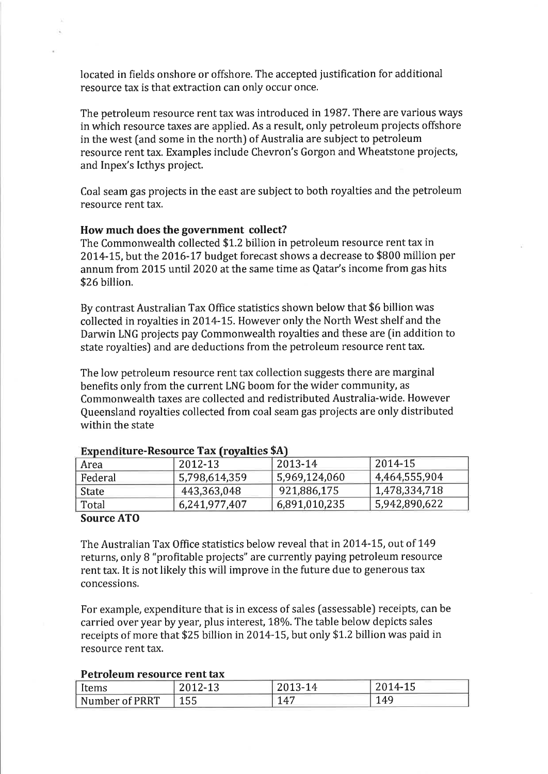located in fields onshore or offshore. The accepted justification for additional resource tax is that extraction can only occur once.

The petroleum resource rent tax was introduced in 1987. There are various ways in which resource taxes are applied. As a result, only petroleum projects offshore in the west [and some in the north) of Australia are subject to petroleum resource rent tax. Examples include Chevron's Gorgon and Wheatstone projects, and Inpex's lcthys project.

Coal seam gas projects in the east are subject to both royalties and the petroleum resource rent tax.

#### How much does the government collect?

The Commonwealth collected \$1.2 billion in petroleum resource rent tax in 2014-15, but the 2016-17 budget forecast shows a decrease to \$800 million per annum from 2015 until 2020 at the same time as Qatar's income from gas hits \$26 billion.

By contrast Australian Tax Office statistics shown below that \$6 billion was collected in royalties in 2014-15. However only the North West shelf and the Darwin LNG projects pay Commonwealth royalties and these are (in addition to state royalties) and are deductions from the petroleum resource rent tax.

The low petroleum resource rent tax collection suggests there are marginal benefits only from the current LNG boom for the wider community, as Commonwealth taxes are collected and redistributed Australia-wide. However Queensland royalties collected from coal seam gas projects are only distributed within the state

| Area         | 2012-13       | 2013-14       | 2014-15       |  |  |
|--------------|---------------|---------------|---------------|--|--|
| Federal      | 5,798,614,359 | 5,969,124,060 | 4,464,555,904 |  |  |
| <b>State</b> | 443,363,048   | 921,886,175   | 1,478,334,718 |  |  |
| Total        | 6,241,977,407 | 6,891,010,235 | 5,942,890,622 |  |  |

#### Expenditure-Resource Tax (rovalties \$A)

### Source ATO

The Australian Tax Office statistics below reveal that in 2014-15, out of 149 returns, only B "profitable projects" are currently paying petroleum resource rent tax. It is not likely this will improve in the future due to generous tax concessions.

For example, expenditure that is in excess of sales (assessable) receipts, can be carried over year by year, plus interest, 18%. The table below depicts sales receipts of more that \$25 billion in 2014-15, but only \$1.2 billion was paid in resource rent tax.

#### Petroleum resource rent tax

| <i>items</i>   | ากงก<br>ZUIZ-13 | <b>COMP</b> 1<br>3-T4<br>2010 | $2014 - 15$ |
|----------------|-----------------|-------------------------------|-------------|
| Number of PRRT | い<br>ᆂᇦᇦ        | $\Lambda$                     | $\Delta$ O  |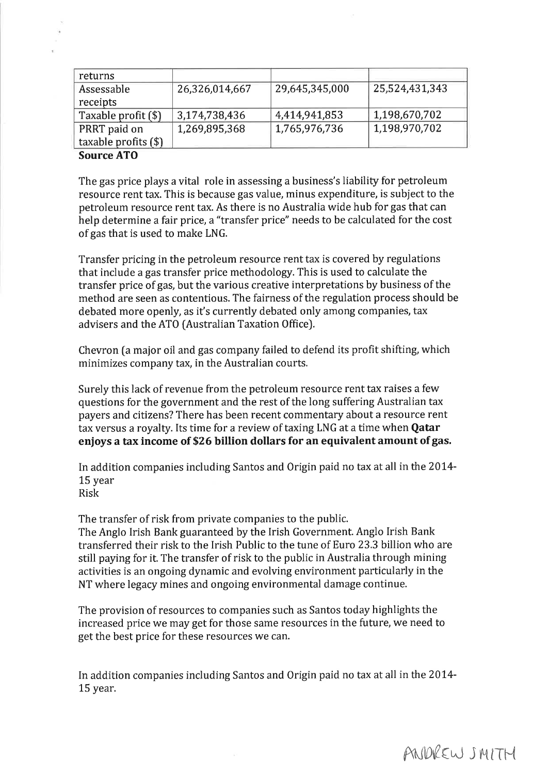| returns                |                |                |                |
|------------------------|----------------|----------------|----------------|
| Assessable             | 26,326,014,667 | 29,645,345,000 | 25,524,431,343 |
| receipts               |                |                |                |
| Taxable profit (\$)    | 3,174,738,436  | 4,414,941,853  | 1,198,670,702  |
| PRRT paid on           | 1,269,895,368  | 1,765,976,736  | 1,198,970,702  |
| taxable profits $(\$)$ |                |                |                |

### Source ATO

The gas price plays a vital role in assessing a business's liability for petroleum resource rent tax. This is because gas value, minus expenditure, is subject to the petroleum resource rent tax. As there is no Australia wide hub for gas that can help determine a fair price, a "transfer price" needs to be calculated for the cost of gas that is used to make LNG.

Transfer pricing in the petroleum resource rent tax is covered by regulations that include a gas transfer price methodology. This is used to calculate the transfer price of gas, but the various creative interpretations by business of the method are seen as contentious. The fairness of the regulation process should be debated more openly, as it's currently debated only among companies, tax advisers and the ATO (Australian Taxation Office).

Chevron (a major oil and gas company failed to defend its profit shifting, which minimizes company tax, in the Australian courts.

Surely this lack of revenue from the petroleum resource rent tax raises a few questions for the government and the rest of the long suffering Australian tax payers and citizens? There has been recent commentary about a resource rent tax versus a royalty. Its time for a review of taxing LNG at a time when **Qatar** enjoys a tax income of \$26 billion dollars for an equivalent amount of gas.

In addition companies including Santos and Origin paid no tax at all in the 2014-15 year Risk

The transfer of risk from private companies to the public.

The Anglo Irish Bank guaranteed by the Irish Government. Anglo Irish Bank transferred their risk to the Irish Public to the tune of Euro 23.3 billion who are still paying for it. The transfer of risk to the public in Australia through mining activities is an ongoing dynamic and evolving environment particularly in the NT where legacy mines and ongoing environmental damage continue.

The provision of resources to companies such as Santos today highlights the increased price we may get for those same resources in the future, we need to get the best price for these resources we can.

In addition companies including Santos and Origin paid no tax at all in the 2014- 15 year.

ANDREW SMITH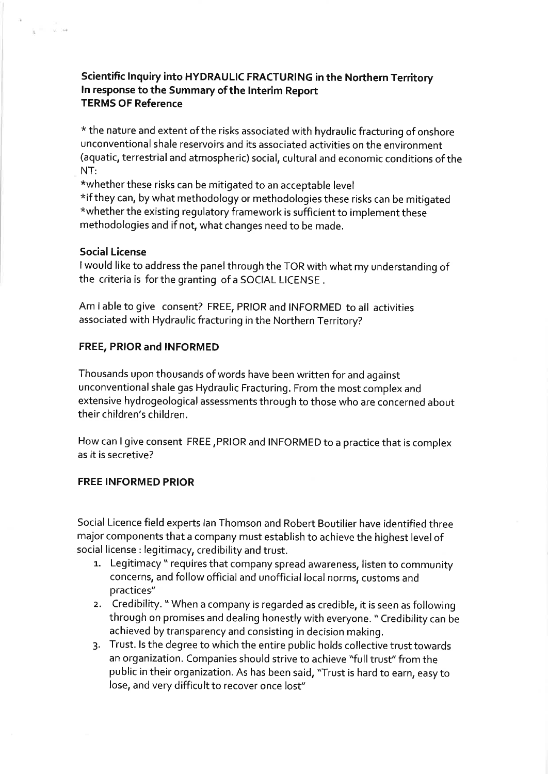# Scientific Inquiry into HYDRAULIC FRACTURING in the Northern Territory In response to the Summary of the Interim Report TERMS OF Reference

\* the nature and extent of the risks associated with hydraulic fracturing of onshore unconventional shale reservoirs and its associated activities on the environment (aquatic, terrestrial and atmospheric) social, cultural and economic conditions of the NT:

\*whether these risks can be mitigated to an acceptable level \*if they can, by what methodology or methodologies these risks can be mitigated \*whether the existing regulatory framework is sufficient to implement these methodologies and if not, what changes need to be made.

## Social License

 $\lambda = -\sqrt{2}$ 

<sup>I</sup>would like to address the panel through the TOR with what my understanding of the criteria is forthe granting of a SOCIAL LICENSE .

Am lable to give consent? FREE, PRIOR and INFORMED to all activities associated with Hydraulic fracturing in the Northern Territory?

# FREE, PRIOR and INFORMED

Thousands upon thousands of words have been written for and against unconventional shale gas Hydraulic Fracturing. From the most complex and extensive hydrogeological assessments through to those who are concerned about their children's children.

How can I give consent FREE,PRIOR and INFORMED to a practice that is complex as it is secretive?

## FREE INFORMED PRIOR

Social Licence field experts lan Thomson and Robert Boutilier have identified three major components that a company must establish to achieve the highest level of social license : legitimacy, credibility and trust.

- 1. Legitimacy " requires that company spread awareness, listen to community concerns, and follow official and unofficial local norms, customs and practices"
- 2. Credibility. " When a company is regarded as credible, it is seen as following through on promises and dealing honestly with everyone. " Credibility can be achieved bytransparency and consisting in decision making.
- 3. Trust. ls the degree to which the entire public holds collective trust towards an organization. Companies should strive to achieve "full trust" from the public in their organization. As has been said, "Trust is hard to earn, easy to lose, and very difficult to recover once lost"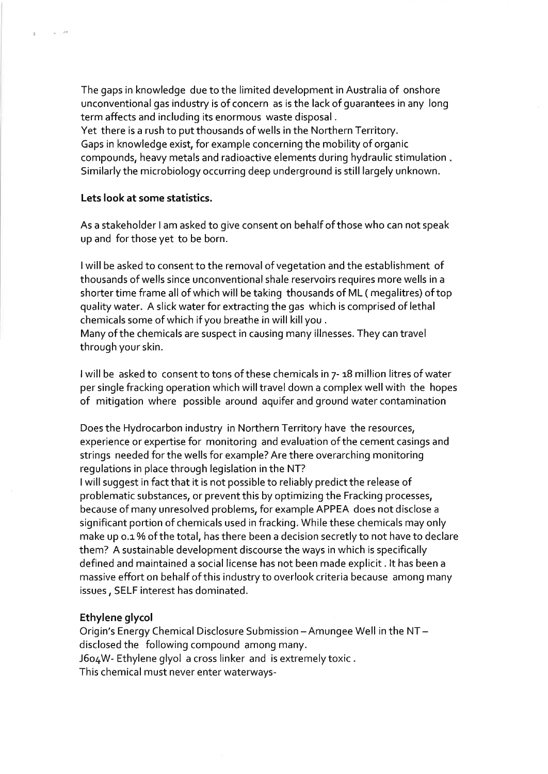The gaps in knowledge due to the limited development in Australia of onshore unconventional gas industry is of concern as is the lack of guarantees in any long term affects and including its enormous waste disposal .

Yet there is a rush to put thousands of wells in the Northern Territory. Gaps in knowledge exist, for example concerning the mobility of organic compounds, heavy metals and radioactive elements during hydraulic stimulation Similarly the microbiology occurring deep underground is still largely unknown.

### Lets look at some statistics.

k.

and and state

As a stakeholder I am asked to give consent on behalf of those who can not speak up and forthose yet to be born.

<sup>I</sup>will be asked to consent to the removal of vegetation and the establishment of thousands of wells since unconventional shale reservoirs requires more wells in a shorter time frame all of which will be taking thousands of ML ( megalitres) of top quality water. A slick water for extracting the gas which is comprised of lethal chemicals some of which if you breathe in will killyou .

Many of the chemicals are suspect in causing many illnesses. They can travel through your skin.

I will be asked to consent to tons of these chemicals in  $7-18$  million litres of water per single fracking operation which will travel down a complex well with the hopes of mitigation where possible around aquifer and ground water contamination

Does the Hydrocarbon industry in Northern Territory have the resources, experience or expertise for monitoring and evaluation of the cement casings and strings needed for the wells for example? Are there overarching monitoring regulations in place through legislation in the NT?

<sup>I</sup>will suggest in fact that it is not possible to reliably predict the release of problematic substances, or prevent this by optimizing the Fracking processes, because of many unresolved problems, for example APPEA does not disclose <sup>a</sup> significant portion of chemicals used in fracking. While these chemicals may only make up o.1% of the total, has there been a decision secretly to not have to declare them? A sustainable development discourse the ways in which is specifically defined and maintained a social license has not been made explicit. lt has been a massive effort on behalf of this industry to overlook criteria because among many issues, SELF interest has dominated.

#### Ethylene glycol

Origin's Energy Chemical Disclosure Submission - Amungee Well in the NTdisclosed the following compound among many. J6o4W- Ethylene glyol a cross linker and is extremelytoxic. This chemical must never enter waterways-